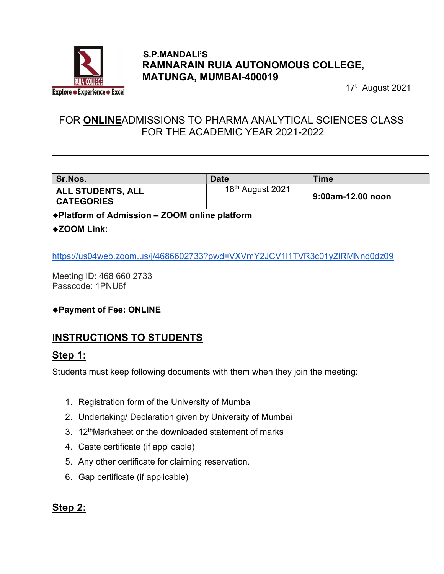

#### S.P.MANDALI'S RAMNARAIN RUIA AUTONOMOUS COLLEGE, MATUNGA, MUMBAI-400019

17<sup>th</sup> August 2021

## FOR ONLINEADMISSIONS TO PHARMA ANALYTICAL SCIENCES CLASS FOR THE ACADEMIC YEAR 2021-2022

| Sr.Nos.                                       | <b>Date</b>                  | <b>Time</b>       |
|-----------------------------------------------|------------------------------|-------------------|
| <b>ALL STUDENTS, ALL</b><br><b>CATEGORIES</b> | 18 <sup>th</sup> August 2021 | 9:00am-12.00 noon |

Platform of Admission – ZOOM online platform

#### ◆ZOOM Link:

https://us04web.zoom.us/j/4686602733?pwd=VXVmY2JCV1l1TVR3c01yZlRMNnd0dz09

Meeting ID: 468 660 2733 Passcode: 1PNU6f

Payment of Fee: ONLINE

# INSTRUCTIONS TO STUDENTS

#### Step 1:

Students must keep following documents with them when they join the meeting:

- 1. Registration form of the University of Mumbai
- 2. Undertaking/ Declaration given by University of Mumbai
- 3. 12<sup>th</sup>Marksheet or the downloaded statement of marks
- 4. Caste certificate (if applicable)
- 5. Any other certificate for claiming reservation.
- 6. Gap certificate (if applicable)

#### Step 2: